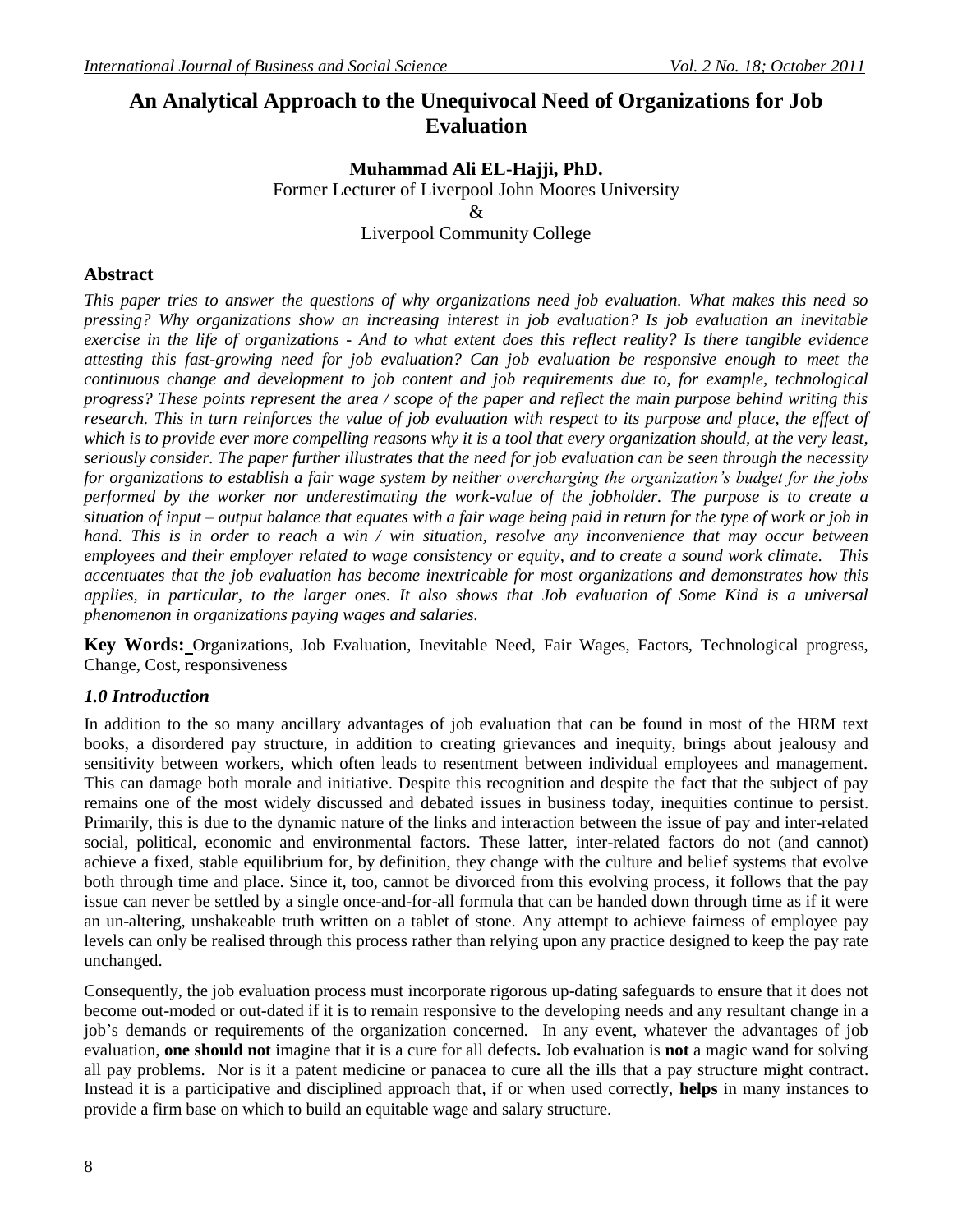# **An Analytical Approach to the Unequivocal Need of Organizations for Job Evaluation**

# **Muhammad Ali EL-Hajji, PhD.** Former Lecturer of Liverpool John Moores University &

Liverpool Community College

### **Abstract**

*This paper tries to answer the questions of why organizations need job evaluation. What makes this need so pressing? Why organizations show an increasing interest in job evaluation? Is job evaluation an inevitable exercise in the life of organizations - And to what extent does this reflect reality? Is there tangible evidence attesting this fast-growing need for job evaluation? Can job evaluation be responsive enough to meet the continuous change and development to job content and job requirements due to, for example, technological progress? These points represent the area / scope of the paper and reflect the main purpose behind writing this research. This in turn reinforces the value of job evaluation with respect to its purpose and place, the effect of which is to provide ever more compelling reasons why it is a tool that every organization should, at the very least, seriously consider. The paper further illustrates that the need for job evaluation can be seen through the necessity for organizations to establish a fair wage system by neither overcharging the organization's budget for the jobs performed by the worker nor underestimating the work-value of the jobholder. The purpose is to create a situation of input – output balance that equates with a fair wage being paid in return for the type of work or job in hand. This is in order to reach a win / win situation, resolve any inconvenience that may occur between employees and their employer related to wage consistency or equity, and to create a sound work climate. This accentuates that the job evaluation has become inextricable for most organizations and demonstrates how this applies, in particular, to the larger ones. It also shows that Job evaluation of Some Kind is a universal phenomenon in organizations paying wages and salaries.*

**Key Words:** Organizations, Job Evaluation, Inevitable Need, Fair Wages, Factors, Technological progress, Change, Cost, responsiveness

### *1.0 Introduction*

In addition to the so many ancillary advantages of job evaluation that can be found in most of the HRM text books, a disordered pay structure, in addition to creating grievances and inequity, brings about jealousy and sensitivity between workers, which often leads to resentment between individual employees and management. This can damage both morale and initiative. Despite this recognition and despite the fact that the subject of pay remains one of the most widely discussed and debated issues in business today, inequities continue to persist. Primarily, this is due to the dynamic nature of the links and interaction between the issue of pay and inter-related social, political, economic and environmental factors. These latter, inter-related factors do not (and cannot) achieve a fixed, stable equilibrium for, by definition, they change with the culture and belief systems that evolve both through time and place. Since it, too, cannot be divorced from this evolving process, it follows that the pay issue can never be settled by a single once-and-for-all formula that can be handed down through time as if it were an un-altering, unshakeable truth written on a tablet of stone. Any attempt to achieve fairness of employee pay levels can only be realised through this process rather than relying upon any practice designed to keep the pay rate unchanged.

Consequently, the job evaluation process must incorporate rigorous up-dating safeguards to ensure that it does not become out-moded or out-dated if it is to remain responsive to the developing needs and any resultant change in a job's demands or requirements of the organization concerned. In any event, whatever the advantages of job evaluation, **one should not** imagine that it is a cure for all defects**.** Job evaluation is **not** a magic wand for solving all pay problems. Nor is it a patent medicine or panacea to cure all the ills that a pay structure might contract. Instead it is a participative and disciplined approach that, if or when used correctly, **helps** in many instances to provide a firm base on which to build an equitable wage and salary structure.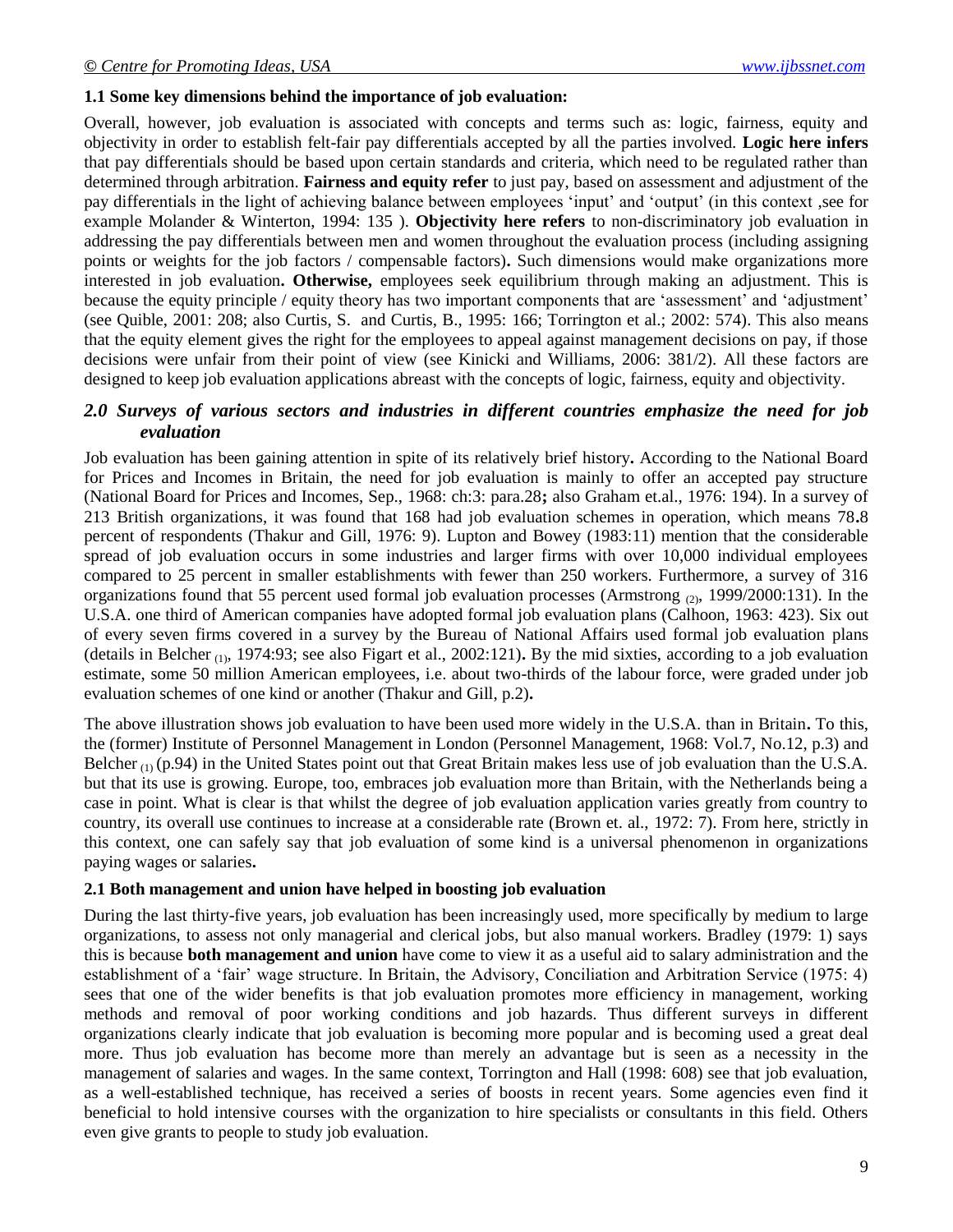#### **1.1 Some key dimensions behind the importance of job evaluation:**

Overall, however, job evaluation is associated with concepts and terms such as: logic, fairness, equity and objectivity in order to establish felt-fair pay differentials accepted by all the parties involved. **Logic here infers** that pay differentials should be based upon certain standards and criteria, which need to be regulated rather than determined through arbitration. **Fairness and equity refer** to just pay, based on assessment and adjustment of the pay differentials in the light of achieving balance between employees 'input' and 'output' (in this context ,see for example Molander & Winterton, 1994: 135 ). **Objectivity here refers** to non-discriminatory job evaluation in addressing the pay differentials between men and women throughout the evaluation process (including assigning points or weights for the job factors / compensable factors)**.** Such dimensions would make organizations more interested in job evaluation**. Otherwise,** employees seek equilibrium through making an adjustment. This is because the equity principle / equity theory has two important components that are 'assessment' and 'adjustment' (see Quible, 2001: 208; also Curtis, S. and Curtis, B., 1995: 166; Torrington et al.; 2002: 574). This also means that the equity element gives the right for the employees to appeal against management decisions on pay, if those decisions were unfair from their point of view (see Kinicki and Williams, 2006: 381/2). All these factors are designed to keep job evaluation applications abreast with the concepts of logic, fairness, equity and objectivity.

### *2.0 Surveys of various sectors and industries in different countries emphasize the need for job evaluation*

Job evaluation has been gaining attention in spite of its relatively brief history**.** According to the National Board for Prices and Incomes in Britain, the need for job evaluation is mainly to offer an accepted pay structure (National Board for Prices and Incomes, Sep., 1968: ch:3: para.28**;** also Graham et.al., 1976: 194). In a survey of 213 British organizations, it was found that 168 had job evaluation schemes in operation, which means 78**.**8 percent of respondents (Thakur and Gill, 1976: 9). Lupton and Bowey (1983:11) mention that the considerable spread of job evaluation occurs in some industries and larger firms with over 10,000 individual employees compared to 25 percent in smaller establishments with fewer than 250 workers. Furthermore, a survey of 316 organizations found that 55 percent used formal job evaluation processes (Armstrong  $(2)$ , 1999/2000:131). In the U.S.A. one third of American companies have adopted formal job evaluation plans (Calhoon, 1963: 423). Six out of every seven firms covered in a survey by the Bureau of National Affairs used formal job evaluation plans (details in Belcher (1), 1974:93; see also Figart et al., 2002:121)**.** By the mid sixties, according to a job evaluation estimate, some 50 million American employees, i.e. about two-thirds of the labour force, were graded under job evaluation schemes of one kind or another (Thakur and Gill, p.2)**.**

The above illustration shows job evaluation to have been used more widely in the U.S.A. than in Britain**.** To this, the (former) Institute of Personnel Management in London (Personnel Management, 1968: Vol.7, No.12, p.3) and Belcher  $(1)$  (p.94) in the United States point out that Great Britain makes less use of job evaluation than the U.S.A. but that its use is growing. Europe, too, embraces job evaluation more than Britain, with the Netherlands being a case in point. What is clear is that whilst the degree of job evaluation application varies greatly from country to country, its overall use continues to increase at a considerable rate (Brown et. al., 1972: 7). From here, strictly in this context, one can safely say that job evaluation of some kind is a universal phenomenon in organizations paying wages or salaries**.**

#### **2.1 Both management and union have helped in boosting job evaluation**

During the last thirty-five years, job evaluation has been increasingly used, more specifically by medium to large organizations, to assess not only managerial and clerical jobs, but also manual workers. Bradley (1979: 1) says this is because **both management and union** have come to view it as a useful aid to salary administration and the establishment of a 'fair' wage structure. In Britain, the Advisory, Conciliation and Arbitration Service (1975: 4) sees that one of the wider benefits is that job evaluation promotes more efficiency in management, working methods and removal of poor working conditions and job hazards. Thus different surveys in different organizations clearly indicate that job evaluation is becoming more popular and is becoming used a great deal more. Thus job evaluation has become more than merely an advantage but is seen as a necessity in the management of salaries and wages. In the same context, Torrington and Hall (1998: 608) see that job evaluation, as a well-established technique, has received a series of boosts in recent years. Some agencies even find it beneficial to hold intensive courses with the organization to hire specialists or consultants in this field. Others even give grants to people to study job evaluation.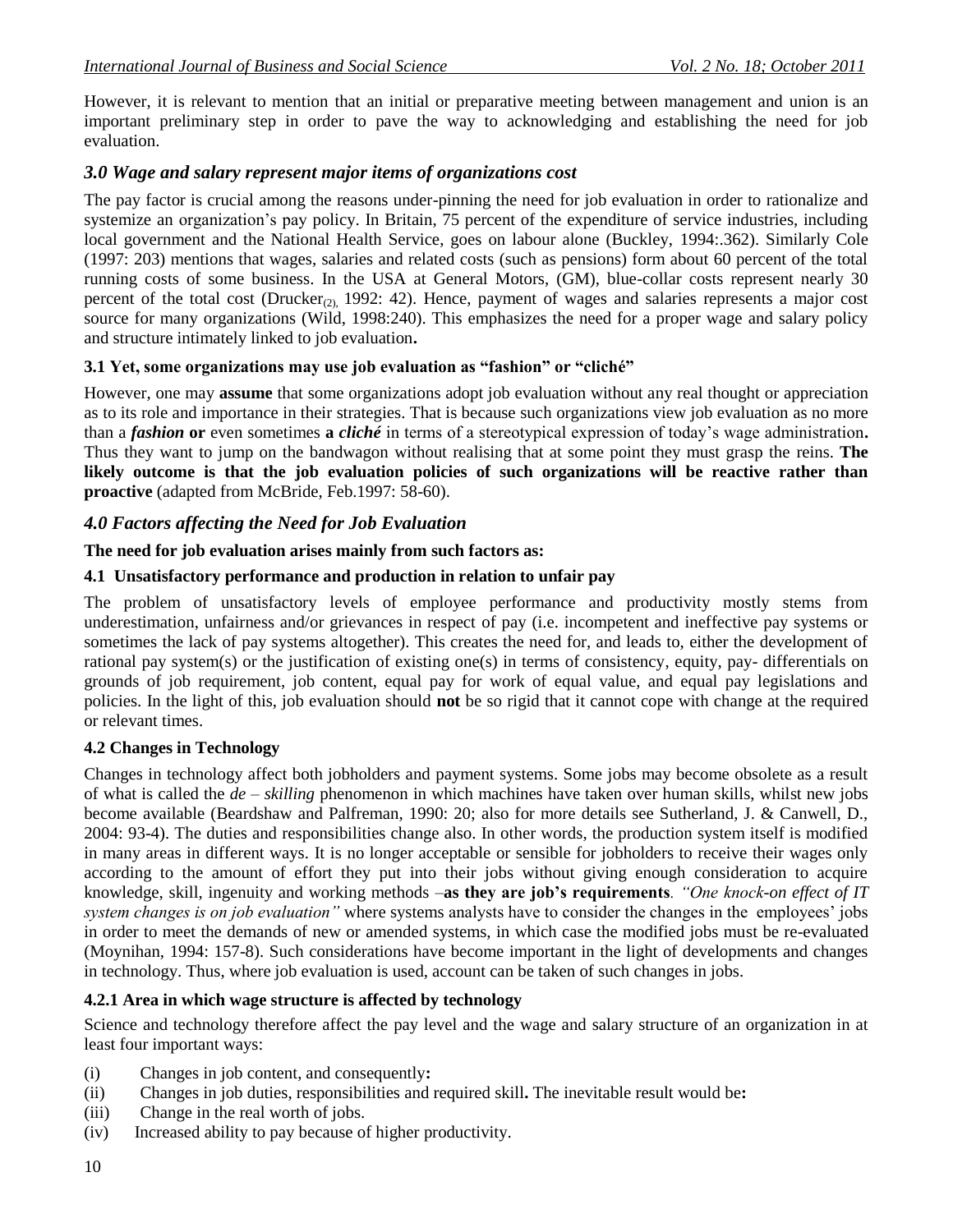However, it is relevant to mention that an initial or preparative meeting between management and union is an important preliminary step in order to pave the way to acknowledging and establishing the need for job evaluation.

### *3.0 Wage and salary represent major items of organizations cost*

The pay factor is crucial among the reasons under-pinning the need for job evaluation in order to rationalize and systemize an organization's pay policy. In Britain, 75 percent of the expenditure of service industries, including local government and the National Health Service, goes on labour alone (Buckley, 1994:.362). Similarly Cole (1997: 203) mentions that wages, salaries and related costs (such as pensions) form about 60 percent of the total running costs of some business. In the USA at General Motors, (GM), blue-collar costs represent nearly 30 percent of the total cost (Drucker<sub>(2),</sub> 1992: 42). Hence, payment of wages and salaries represents a major cost source for many organizations (Wild, 1998:240). This emphasizes the need for a proper wage and salary policy and structure intimately linked to job evaluation**.**

#### **3.1 Yet, some organizations may use job evaluation as "fashion" or "cliché"**

However, one may **assume** that some organizations adopt job evaluation without any real thought or appreciation as to its role and importance in their strategies. That is because such organizations view job evaluation as no more than a *fashion* **or** even sometimes **a** *cliché* in terms of a stereotypical expression of today's wage administration**.** Thus they want to jump on the bandwagon without realising that at some point they must grasp the reins. **The likely outcome is that the job evaluation policies of such organizations will be reactive rather than proactive** (adapted from McBride, Feb.1997: 58-60).

### *4.0 Factors affecting the Need for Job Evaluation*

### **The need for job evaluation arises mainly from such factors as:**

#### **4.1 Unsatisfactory performance and production in relation to unfair pay**

The problem of unsatisfactory levels of employee performance and productivity mostly stems from underestimation, unfairness and/or grievances in respect of pay (i.e. incompetent and ineffective pay systems or sometimes the lack of pay systems altogether). This creates the need for, and leads to, either the development of rational pay system(s) or the justification of existing one(s) in terms of consistency, equity, pay- differentials on grounds of job requirement, job content, equal pay for work of equal value, and equal pay legislations and policies. In the light of this, job evaluation should **not** be so rigid that it cannot cope with change at the required or relevant times.

#### **4.2 Changes in Technology**

Changes in technology affect both jobholders and payment systems. Some jobs may become obsolete as a result of what is called the *de – skilling* phenomenon in which machines have taken over human skills, whilst new jobs become available (Beardshaw and Palfreman, 1990: 20; also for more details see Sutherland, J. & Canwell, D., 2004: 93-4). The duties and responsibilities change also. In other words, the production system itself is modified in many areas in different ways. It is no longer acceptable or sensible for jobholders to receive their wages only according to the amount of effort they put into their jobs without giving enough consideration to acquire knowledge, skill, ingenuity and working methods –**as they are job's requirements***. "One knock-on effect of IT system changes is on job evaluation"* where systems analysts have to consider the changes in the employees' jobs in order to meet the demands of new or amended systems, in which case the modified jobs must be re-evaluated (Moynihan, 1994: 157-8). Such considerations have become important in the light of developments and changes in technology. Thus, where job evaluation is used, account can be taken of such changes in jobs.

### **4.2.1 Area in which wage structure is affected by technology**

Science and technology therefore affect the pay level and the wage and salary structure of an organization in at least four important ways:

- (i) Changes in job content, and consequently**:**
- (ii) Changes in job duties, responsibilities and required skill**.** The inevitable result would be**:**
- (iii) Change in the real worth of jobs.
- (iv) Increased ability to pay because of higher productivity.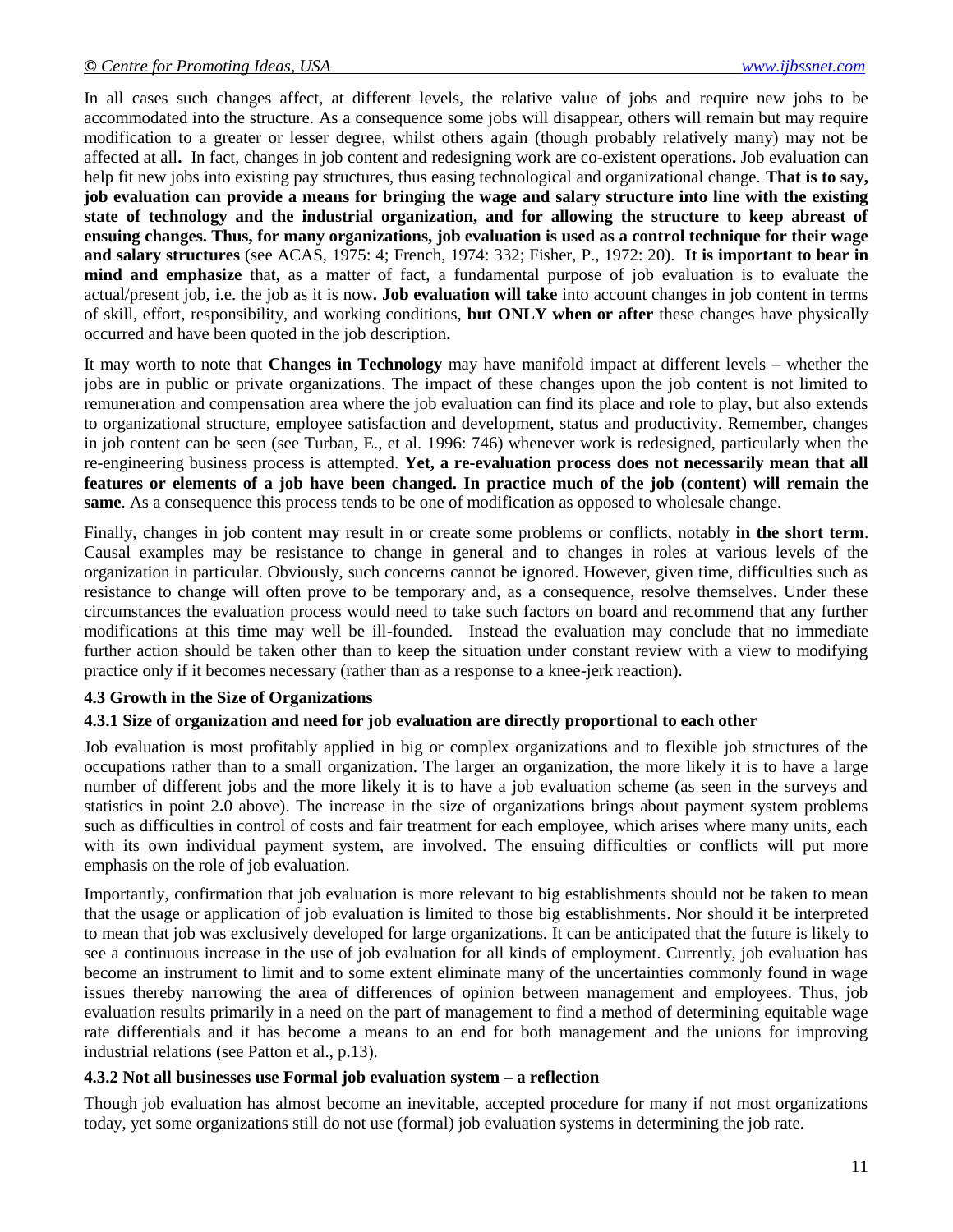In all cases such changes affect, at different levels, the relative value of jobs and require new jobs to be accommodated into the structure. As a consequence some jobs will disappear, others will remain but may require modification to a greater or lesser degree, whilst others again (though probably relatively many) may not be affected at all**.** In fact, changes in job content and redesigning work are co-existent operations**.** Job evaluation can help fit new jobs into existing pay structures, thus easing technological and organizational change. **That is to say, job evaluation can provide a means for bringing the wage and salary structure into line with the existing state of technology and the industrial organization, and for allowing the structure to keep abreast of ensuing changes. Thus, for many organizations, job evaluation is used as a control technique for their wage and salary structures** (see ACAS, 1975: 4; French, 1974: 332; Fisher, P., 1972: 20). **It is important to bear in mind and emphasize** that, as a matter of fact, a fundamental purpose of job evaluation is to evaluate the actual/present job, i.e. the job as it is now**. Job evaluation will take** into account changes in job content in terms of skill, effort, responsibility, and working conditions, **but ONLY when or after** these changes have physically occurred and have been quoted in the job description**.**

It may worth to note that **Changes in Technology** may have manifold impact at different levels – whether the jobs are in public or private organizations. The impact of these changes upon the job content is not limited to remuneration and compensation area where the job evaluation can find its place and role to play, but also extends to organizational structure, employee satisfaction and development, status and productivity. Remember, changes in job content can be seen (see Turban, E., et al. 1996: 746) whenever work is redesigned, particularly when the re-engineering business process is attempted. **Yet, a re-evaluation process does not necessarily mean that all features or elements of a job have been changed. In practice much of the job (content) will remain the same**. As a consequence this process tends to be one of modification as opposed to wholesale change.

Finally, changes in job content **may** result in or create some problems or conflicts, notably **in the short term**. Causal examples may be resistance to change in general and to changes in roles at various levels of the organization in particular. Obviously, such concerns cannot be ignored. However, given time, difficulties such as resistance to change will often prove to be temporary and, as a consequence, resolve themselves. Under these circumstances the evaluation process would need to take such factors on board and recommend that any further modifications at this time may well be ill-founded. Instead the evaluation may conclude that no immediate further action should be taken other than to keep the situation under constant review with a view to modifying practice only if it becomes necessary (rather than as a response to a knee-jerk reaction).

#### **4.3 Growth in the Size of Organizations**

#### **4.3.1 Size of organization and need for job evaluation are directly proportional to each other**

Job evaluation is most profitably applied in big or complex organizations and to flexible job structures of the occupations rather than to a small organization. The larger an organization, the more likely it is to have a large number of different jobs and the more likely it is to have a job evaluation scheme (as seen in the surveys and statistics in point 2**.**0 above). The increase in the size of organizations brings about payment system problems such as difficulties in control of costs and fair treatment for each employee, which arises where many units, each with its own individual payment system, are involved. The ensuing difficulties or conflicts will put more emphasis on the role of job evaluation.

Importantly, confirmation that job evaluation is more relevant to big establishments should not be taken to mean that the usage or application of job evaluation is limited to those big establishments. Nor should it be interpreted to mean that job was exclusively developed for large organizations. It can be anticipated that the future is likely to see a continuous increase in the use of job evaluation for all kinds of employment. Currently, job evaluation has become an instrument to limit and to some extent eliminate many of the uncertainties commonly found in wage issues thereby narrowing the area of differences of opinion between management and employees. Thus, job evaluation results primarily in a need on the part of management to find a method of determining equitable wage rate differentials and it has become a means to an end for both management and the unions for improving industrial relations (see Patton et al., p.13).

#### **4.3.2 Not all businesses use Formal job evaluation system – a reflection**

Though job evaluation has almost become an inevitable, accepted procedure for many if not most organizations today, yet some organizations still do not use (formal) job evaluation systems in determining the job rate.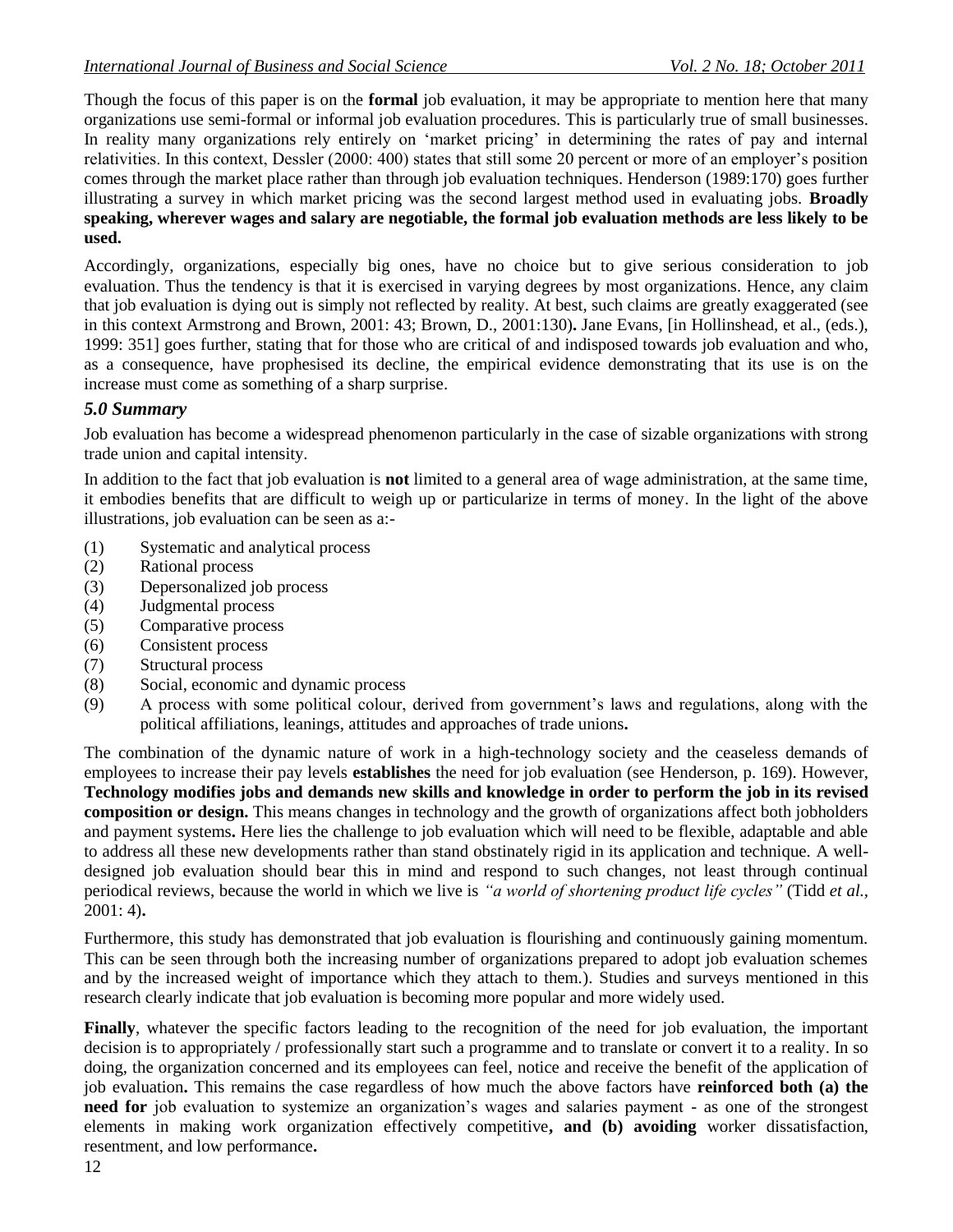Though the focus of this paper is on the **formal** job evaluation, it may be appropriate to mention here that many organizations use semi-formal or informal job evaluation procedures. This is particularly true of small businesses. In reality many organizations rely entirely on 'market pricing' in determining the rates of pay and internal relativities. In this context, Dessler (2000: 400) states that still some 20 percent or more of an employer's position comes through the market place rather than through job evaluation techniques. Henderson (1989:170) goes further illustrating a survey in which market pricing was the second largest method used in evaluating jobs. **Broadly speaking, wherever wages and salary are negotiable, the formal job evaluation methods are less likely to be used.**

Accordingly, organizations, especially big ones, have no choice but to give serious consideration to job evaluation. Thus the tendency is that it is exercised in varying degrees by most organizations. Hence, any claim that job evaluation is dying out is simply not reflected by reality. At best, such claims are greatly exaggerated (see in this context Armstrong and Brown, 2001: 43; Brown, D., 2001:130)**.** Jane Evans, [in Hollinshead, et al., (eds.), 1999: 351] goes further, stating that for those who are critical of and indisposed towards job evaluation and who, as a consequence, have prophesised its decline, the empirical evidence demonstrating that its use is on the increase must come as something of a sharp surprise.

## *5.0 Summary*

Job evaluation has become a widespread phenomenon particularly in the case of sizable organizations with strong trade union and capital intensity.

In addition to the fact that job evaluation is **not** limited to a general area of wage administration, at the same time, it embodies benefits that are difficult to weigh up or particularize in terms of money. In the light of the above illustrations, job evaluation can be seen as a:-

- (1) Systematic and analytical process
- (2) Rational process
- (3) Depersonalized job process
- (4) Judgmental process
- (5) Comparative process
- (6) Consistent process
- (7) Structural process
- (8) Social, economic and dynamic process
- (9) A process with some political colour, derived from government's laws and regulations, along with the political affiliations, leanings, attitudes and approaches of trade unions**.**

The combination of the dynamic nature of work in a high-technology society and the ceaseless demands of employees to increase their pay levels **establishes** the need for job evaluation (see Henderson, p. 169). However, **Technology modifies jobs and demands new skills and knowledge in order to perform the job in its revised composition or design.** This means changes in technology and the growth of organizations affect both jobholders and payment systems**.** Here lies the challenge to job evaluation which will need to be flexible, adaptable and able to address all these new developments rather than stand obstinately rigid in its application and technique. A welldesigned job evaluation should bear this in mind and respond to such changes, not least through continual periodical reviews, because the world in which we live is *"a world of shortening product life cycles"* (Tidd *et al.,* 2001: 4)**.**

Furthermore, this study has demonstrated that job evaluation is flourishing and continuously gaining momentum. This can be seen through both the increasing number of organizations prepared to adopt job evaluation schemes and by the increased weight of importance which they attach to them.). Studies and surveys mentioned in this research clearly indicate that job evaluation is becoming more popular and more widely used.

**Finally**, whatever the specific factors leading to the recognition of the need for job evaluation, the important decision is to appropriately / professionally start such a programme and to translate or convert it to a reality. In so doing, the organization concerned and its employees can feel, notice and receive the benefit of the application of job evaluation**.** This remains the case regardless of how much the above factors have **reinforced both (a) the need for** job evaluation to systemize an organization's wages and salaries payment - as one of the strongest elements in making work organization effectively competitive**, and (b) avoiding** worker dissatisfaction, resentment, and low performance**.**